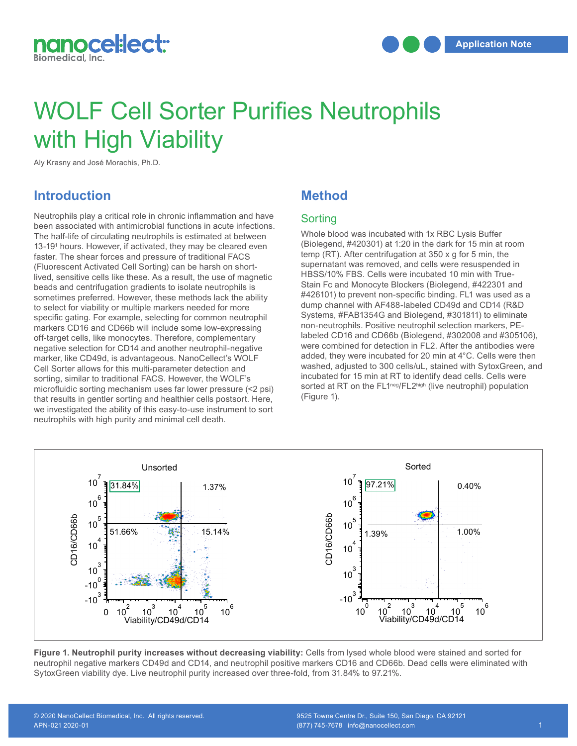

# WOLF Cell Sorter Purifies Neutrophils with High Viability

Aly Krasny and José Morachis, Ph.D.

## **Introduction**

Neutrophils play a critical role in chronic inflammation and have been associated with antimicrobial functions in acute infections. The half-life of circulating neutrophils is estimated at between 13-19<sup>1</sup> hours. However, if activated, they may be cleared even faster. The shear forces and pressure of traditional FACS (Fluorescent Activated Cell Sorting) can be harsh on shortlived, sensitive cells like these. As a result, the use of magnetic heads and centrifugation gradients to isolate neutrophils is sometimes preferred. However, these methods lack the ability to select for viability or multiple markers needed for more specific gating. For example, selecting for common neutrophil markers CD16 and CD66b will include some low-expressing off-target cells, like monocytes. Therefore, complementary negative selection for CD14 and another neutrophil-negative marker, like CD49d, is advantageous. NanoCellect's WOLF Cell Sorter allows for this multi-parameter detection and sorting, similar to traditional FACS. However, the WOLF's microfluidic sorting mechanism uses far lower pressure (<2 psi) that results in gentler sorting and healthier cells postsort. Here, we investigated the ability of this easy-to-use instrument to sort neutrophils with high purity and minimal cell death.

#### **Method**

#### **Sorting**

Whole blood was incubated with 1x RBC Lysis Buffer (Biolegend, #420301) at 1:20 in the dark for 15 min at room temp (RT). After centrifugation at 350 x g for 5 min, the supernatant was removed, and cells were resuspended in HBSS/10% FBS. Cells were incubated 10 min with True-Stain Fc and Monocyte Blockers (Biolegend, #422301 and #426101) to prevent non-specific binding. FL1 was used as a 7 a act of the prevent hon-specific binding. The was used as a dump channel with AF488-labeled CD49d and CD14 (R&D Systems, #FAB1354G and Biolegend, #301811) to eliminate 6 non-neutrophils. Positive neutrophil selection markers, PE-10 labeled CD16 and CD66b (Biolegend, #302008 and #305106), 5 were combined for detection in FL2. After the antibodies were added, they were incubated for 20 min at 4°C. Cells were then 4 washed, adjusted to 300 cells/uL, stained with SytoxGreen, and incubated for 15 min at RT to identify dead cells. Cells were sorted at RT on the FL1<sup>neg</sup>/FL2<sup>high</sup> (live neutrophil) population (Figure 1). d(<br>or<br>d,<br>te



Figure 1. Neutrophil purity increases without decreasing viability: Cells from lysed whole blood were stained and sorted for neutrophil negative markers CD49d and CD14, and neutrophil positive markers CD16 and CD66b. Dead cells were eliminated with neutrophil hogative mantere our realitated by the interaction in positive mantere our or and objects.<br>SytoxGreen viability dye. Live neutrophil purity increased over three-fold, from 31.84% to 97.21%.

5